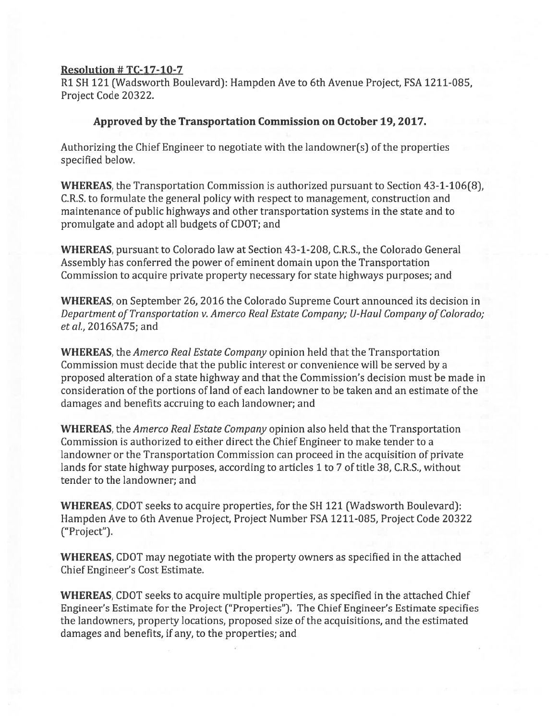## Resolution  $#TC-17-10-7$

Ri SH 121 (Wadsworth Boulevard): Hampden Ave to 6th Avenue Project, FSA 1211-085, Project Code 20322.

## Approved by the Transportation Commission on October 19, 2017.

Authorizing the Chief Engineer to negotiate with the landowner(s) of the properties specified below.

WHEREAS, the Transportation Commission is authorized pursuan<sup>t</sup> to Section 43-1-106(8], C.R.S. to formulate the general policy with respec<sup>t</sup> to management, construction and maintenance of public highways and other transportation systems in the state and to promulgate and adopt all budgets of CDOT; and

WHEREAS, pursuan<sup>t</sup> to Colorado law at Section 43-1-208, C.R.S., the Colorado General Assembly has conferred the power of eminent domain upon the Transportation Commission to acquire private property necessary for state highways purposes; and

WHEREAS, on September 26, 2016 the Colorado Supreme Court announced its decision in Department of Transportation v. Amerco Real Estate Company; U-Haul Company of Colorado; etaL, 2016SA75; and

WHEREAS, the Amerco Real Estate Company opinion held that the Transportation Commission must decide that the public interest or convenience will be served by <sup>a</sup> proposed alteration of <sup>a</sup> state highway and that the Commission's decision must be made in consideration of the portions of land of each landowner to be taken and an estimate of the damages and benefits accruing to each landowner; and

WHEREAS, the *Amerco Real Estate Company* opinion also held that the Transportation Commission is authorized to either direct the Chief Engineer to make tender to <sup>a</sup> landowner or the Transportation Commission can proceed in the acquisition of private lands for state highway purposes, according to articles 1 to 7 of title 38, C.R.S., without tender to the landowner; and

WHEREAS, CDOT seeks to acquire properties, for the SH 121 (Wadsworth Boulevard): Hampden Ave to 6th Avenue Project, Project Number FSA 1211-085, Project Code 20322 ("Project").

WHEREAS, CDOT may negotiate with the property owners as specified in the attached Chief Engineer's Cost Estimate.

WHEREAS, CDOT seeks to acquire multiple properties, as specified in the attached Chief Engineer's Estimate for the Project ("Properties"]. The Chief Engineer's Estimate specifies the landowners, property locations, proposed size of the acquisitions, and the estimated damages and benefits, if any, to the properties; and